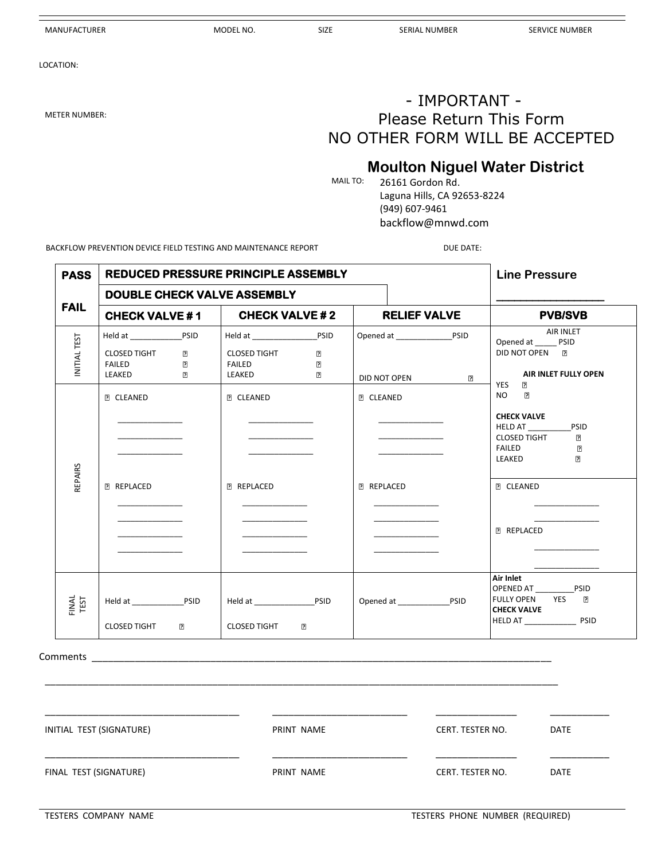#### MANUFACTURER GERVICE NUMBER MODEL NO. SIZE SERIAL NUMBER SERVICE NUMBER SERVICE NUMBER

LOCATION:

### - IMPORTANT - METER NUMBER: **Please Return This Form** NO OTHER FORM WILL BE ACCEPTED

# **Moulton Niguel Water District**<br>MAILTO: 26161 Gordon Rd

26161 Gordon Rd. Laguna Hills, CA 92653-8224 (949) 607-9461 backflow@mnwd.com

BACKFLOW PREVENTION DEVICE FIELD TESTING AND MAINTENANCE REPORT **Example 2008** DUE DATE:

| <b>PASS</b>   | <b>REDUCED PRESSURE PRINCIPLE ASSEMBLY</b>                                                            |                                                                                  |                                       | <b>Line Pressure</b>                                                                                                                                                                |
|---------------|-------------------------------------------------------------------------------------------------------|----------------------------------------------------------------------------------|---------------------------------------|-------------------------------------------------------------------------------------------------------------------------------------------------------------------------------------|
|               | <b>DOUBLE CHECK VALVE ASSEMBLY</b>                                                                    |                                                                                  |                                       |                                                                                                                                                                                     |
| <b>FAIL</b>   | <b>CHECK VALVE #1</b>                                                                                 | <b>CHECK VALVE #2</b>                                                            | <b>RELIEF VALVE</b>                   | <b>PVB/SVB</b>                                                                                                                                                                      |
| INITIAL TEST  | Held at PSID<br><b>CLOSED TIGHT</b><br>$\mathbf{P}$<br><b>FAILED</b><br>7<br>LEAKED<br>$\overline{?}$ | <b>CLOSED TIGHT</b><br>$\overline{2}$<br>?<br>FAILED<br>LEAKED<br>$\overline{2}$ | $\overline{2}$<br>DID NOT OPEN        | AIR INLET<br>Opened at PSID<br>DID NOT OPEN <b>R</b><br>AIR INLET FULLY OPEN<br>YES<br>7                                                                                            |
| REPAIRS       | <b>P CLEANED</b><br>the control of the control of the<br><b>P REPLACED</b>                            | <b>P CLEANED</b><br><b>P REPLACED</b>                                            | <b>P CLEANED</b><br><b>P REPLACED</b> | $\overline{2}$<br>NO <sub>1</sub><br><b>CHECK VALVE</b><br>HELD AT PSID<br><b>CLOSED TIGHT</b><br>7<br><b>FAILED</b><br>卪<br>LEAKED<br>[?]<br><b>P CLEANED</b><br><b>P REPLACED</b> |
| FINAL<br>TEST | <b>CLOSED TIGHT</b><br>7                                                                              | <b>CLOSED TIGHT</b><br>$\mathbf{E}$                                              |                                       | Air Inlet<br>OPENED AT PSID<br><b>FULLY OPEN</b><br>YES ?<br><b>CHECK VALVE</b>                                                                                                     |

Comments \_\_

| INITIAL TEST (SIGNATURE) | PRINT NAME | CERT. TESTER NO. | <b>DATE</b> |
|--------------------------|------------|------------------|-------------|
| FINAL TEST (SIGNATURE)   | PRINT NAME | CERT. TESTER NO. | <b>DATE</b> |

\_\_\_\_\_\_\_\_\_\_\_\_\_\_\_\_\_\_\_\_\_\_\_\_\_\_\_\_\_\_\_\_\_\_\_\_\_\_\_\_\_\_\_\_\_\_\_\_\_\_\_\_\_\_\_\_\_\_\_\_\_\_\_\_\_\_\_\_\_\_\_\_\_\_\_\_\_\_\_\_\_\_\_\_\_\_\_\_\_\_\_\_\_\_\_